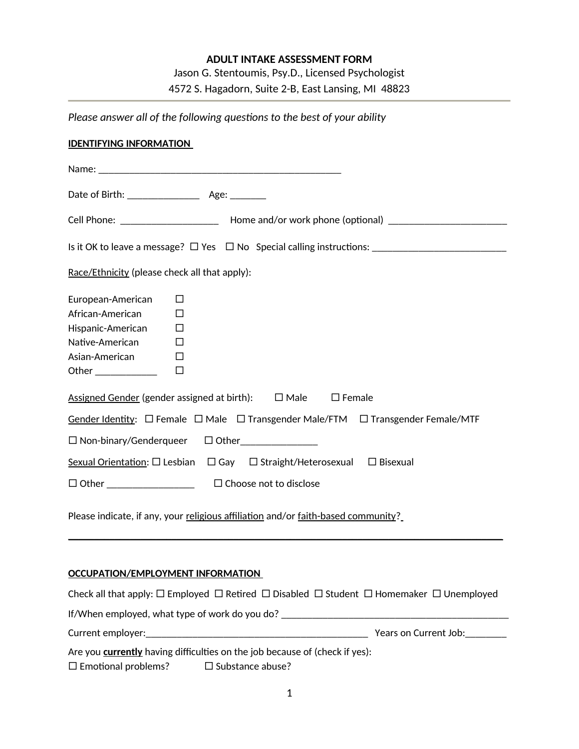# **ADULT INTAKE ASSESSMENT FORM**

Jason G. Stentoumis, Psy.D., Licensed Psychologist

4572 S. Hagadorn, Suite 2-B, East Lansing, MI 48823

| Please answer all of the following questions to the best of your ability                               |
|--------------------------------------------------------------------------------------------------------|
| <b>IDENTIFYING INFORMATION</b>                                                                         |
|                                                                                                        |
|                                                                                                        |
| Cell Phone: ___________________________ Home and/or work phone (optional) _________________________    |
|                                                                                                        |
| Race/Ethnicity (please check all that apply):                                                          |
| European-American<br>$\Box$                                                                            |
| African-American<br>$\Box$                                                                             |
| Hispanic-American $\Box$                                                                               |
| Native-American<br>$\Box$                                                                              |
| Asian-American<br>$\Box$                                                                               |
| Other ______________<br>$\Box$                                                                         |
| Assigned Gender (gender assigned at birth): $\Box$ Male $\Box$ Female                                  |
| Gender Identity: $\Box$ Female $\Box$ Male $\Box$ Transgender Male/FTM $\Box$ Transgender Female/MTF   |
| □ Non-binary/Genderqueer □ Other_____________                                                          |
| Sexual Orientation: $\square$ Lesbian $\square$ Gay $\square$ Straight/Heterosexual $\square$ Bisexual |
|                                                                                                        |
| Please indicate, if any, your religious affiliation and/or faith-based community?                      |

## **OCCUPATION/EMPLOYMENT INFORMATION**

|                                                | Check all that apply: $\Box$ Employed $\Box$ Retired $\Box$ Disabled $\Box$ Student $\Box$ Homemaker $\Box$ Unemployed |                       |
|------------------------------------------------|------------------------------------------------------------------------------------------------------------------------|-----------------------|
| If/When employed, what type of work do you do? |                                                                                                                        |                       |
| Current employer:                              |                                                                                                                        | Years on Current Job: |
|                                                | Are you <b>currently</b> having difficulties on the job because of (check if yes):                                     |                       |
| $\square$ Emotional problems?                  | $\square$ Substance abuse?                                                                                             |                       |

\_\_\_\_\_\_\_\_\_\_\_\_\_\_\_\_\_\_\_\_\_\_\_\_\_\_\_\_\_\_\_\_\_\_\_\_\_\_\_\_\_\_\_\_\_\_\_\_\_\_\_\_\_\_\_\_\_\_\_\_\_\_\_\_\_\_\_\_\_\_\_\_\_\_\_\_\_\_\_\_\_\_\_\_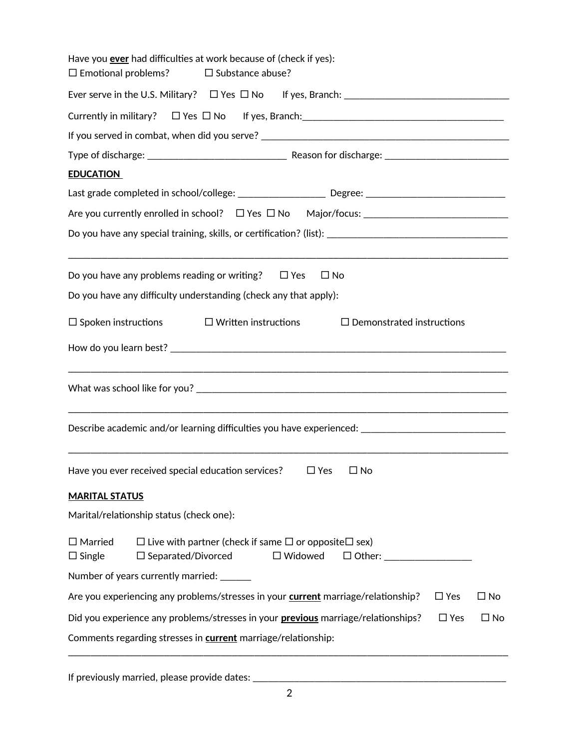| Have you <b>ever</b> had difficulties at work because of (check if yes):<br>$\square$ Emotional problems?<br>$\square$ Substance abuse?                           |
|-------------------------------------------------------------------------------------------------------------------------------------------------------------------|
|                                                                                                                                                                   |
|                                                                                                                                                                   |
|                                                                                                                                                                   |
|                                                                                                                                                                   |
| <b>EDUCATION</b>                                                                                                                                                  |
|                                                                                                                                                                   |
|                                                                                                                                                                   |
|                                                                                                                                                                   |
| Do you have any problems reading or writing? $\Box$ Yes<br>$\square$ No                                                                                           |
| Do you have any difficulty understanding (check any that apply):                                                                                                  |
| $\square$ Spoken instructions $\square$ Written instructions<br>$\Box$ Demonstrated instructions                                                                  |
|                                                                                                                                                                   |
|                                                                                                                                                                   |
| Describe academic and/or learning difficulties you have experienced: ______________________________                                                               |
| Have you ever received special education services?<br>$\Box$ Yes<br>$\square$ No                                                                                  |
| <b>MARITAL STATUS</b>                                                                                                                                             |
| Marital/relationship status (check one):                                                                                                                          |
| $\Box$ Live with partner (check if same $\Box$ or opposite $\Box$ sex)<br>$\square$ Married<br>$\Box$ Single<br>$\square$ Separated/Divorced<br>$\square$ Widowed |
| Number of years currently married: ______                                                                                                                         |
| Are you experiencing any problems/stresses in your <b>current</b> marriage/relationship?<br>$\Box$ Yes<br>□ No                                                    |
| Did you experience any problems/stresses in your <b>previous</b> marriage/relationships?<br>$\Box$ Yes<br>$\square$ No                                            |
| Comments regarding stresses in <b>current</b> marriage/relationship:                                                                                              |

If previously married, please provide dates: \_\_\_\_\_\_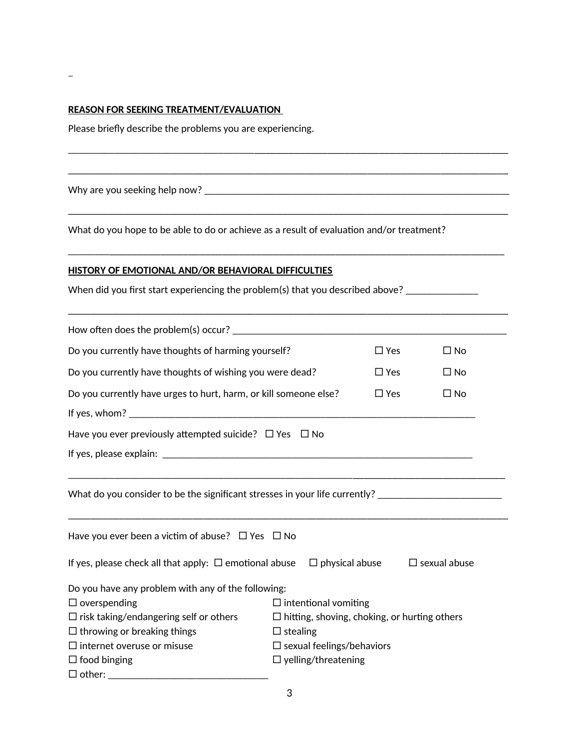#### **REASON FOR SEEKING TREATMENT/EVALUATION**

Please briefly describe the problems you are experiencing.

Why are you seeking help now? \_\_\_\_\_\_\_\_\_\_\_\_\_\_\_\_\_\_\_\_\_\_\_\_\_\_\_\_\_\_\_\_\_\_\_\_\_\_\_\_\_\_\_\_\_\_\_\_\_\_\_\_\_\_\_\_\_\_\_

What do you hope to be able to do or achieve as a result of evaluation and/or treatment?

\_\_\_\_\_\_\_\_\_\_\_\_\_\_\_\_\_\_\_\_\_\_\_\_\_\_\_\_\_\_\_\_\_\_\_\_\_\_\_\_\_\_\_\_\_\_\_\_\_\_\_\_\_\_\_\_\_\_\_\_\_\_\_\_\_\_\_\_\_\_\_\_\_\_\_\_\_\_\_\_\_

\_\_\_\_\_\_\_\_\_\_\_\_\_\_\_\_\_\_\_\_\_\_\_\_\_\_\_\_\_\_\_\_\_\_\_\_\_\_\_\_\_\_\_\_\_\_\_\_\_\_\_\_\_\_\_\_\_\_\_\_\_\_\_\_\_\_\_\_\_\_\_\_\_\_\_\_\_\_

\_\_\_\_\_\_\_\_\_\_\_\_\_\_\_\_\_\_\_\_\_\_\_\_\_\_\_\_\_\_\_\_\_\_\_\_\_\_\_\_\_\_\_\_\_\_\_\_\_\_\_\_\_\_\_\_\_\_\_\_\_\_\_\_\_\_\_\_\_\_\_\_\_\_\_\_\_\_

\_\_\_\_\_\_\_\_\_\_\_\_\_\_\_\_\_\_\_\_\_\_\_\_\_\_\_\_\_\_\_\_\_\_\_\_\_\_\_\_\_\_\_\_\_\_\_\_\_\_\_\_\_\_\_\_\_\_\_\_\_\_\_\_\_\_\_\_\_\_\_\_\_\_\_\_\_\_

### **HISTORY OF EMOTIONAL AND/OR BEHAVIORAL DIFFICULTIES**

When did you first start experiencing the problem(s) that you described above? \_\_\_\_\_\_\_\_\_\_\_\_\_\_

| Do you currently have thoughts of harming yourself?                                                  |                                     | $\square$ Yes | $\Box$ No           |  |
|------------------------------------------------------------------------------------------------------|-------------------------------------|---------------|---------------------|--|
| Do you currently have thoughts of wishing you were dead?<br>$\square$ Yes<br>$\Box$ No               |                                     |               |                     |  |
| Do you currently have urges to hurt, harm, or kill someone else?                                     |                                     | $\Box$ Yes    | $\Box$ No           |  |
|                                                                                                      |                                     |               |                     |  |
| Have you ever previously attempted suicide? $\Box$ Yes $\Box$ No                                     |                                     |               |                     |  |
|                                                                                                      |                                     |               |                     |  |
| What do you consider to be the significant stresses in your life currently? ________________________ |                                     |               |                     |  |
| Have you ever been a victim of abuse? $\Box$ Yes $\Box$ No                                           |                                     |               |                     |  |
| If yes, please check all that apply: $\Box$ emotional abuse $\Box$ physical abuse                    |                                     |               | $\Box$ sexual abuse |  |
| Do you have any problem with any of the following:                                                   |                                     |               |                     |  |
| $\Box$ overspending<br>$\Box$ intentional vomiting                                                   |                                     |               |                     |  |
| $\Box$ risk taking/endangering self or others<br>$\Box$ hitting, shoving, choking, or hurting others |                                     |               |                     |  |
| $\Box$ throwing or breaking things                                                                   | $\Box$ stealing                     |               |                     |  |
| $\square$ internet overuse or misuse                                                                 | $\square$ sexual feelings/behaviors |               |                     |  |
| $\Box$ food binging<br>$\Box$ yelling/threatening                                                    |                                     |               |                     |  |
|                                                                                                      |                                     |               |                     |  |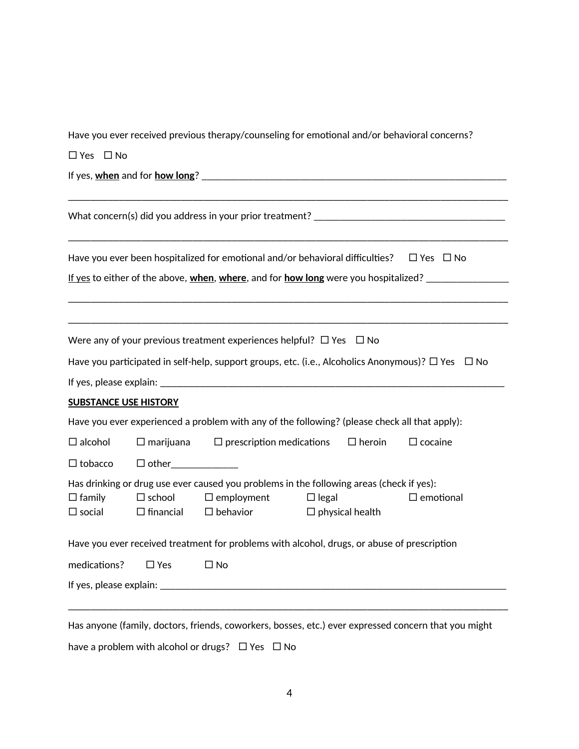Have you ever received previous therapy/counseling for emotional and/or behavioral concerns?

 $\Box$  Yes  $\Box$  No

If yes, **when** and for **how long**? \_\_\_\_\_\_\_\_\_\_\_\_\_\_\_\_\_\_\_\_\_\_\_\_\_\_\_\_\_\_\_\_\_\_\_\_\_\_\_\_\_\_\_\_\_\_\_\_\_\_\_\_\_\_\_\_\_\_\_

|                              |                                      |                                         | Have you ever been hospitalized for emotional and/or behavioral difficulties?                               | $\Box$ Yes $\Box$ No |
|------------------------------|--------------------------------------|-----------------------------------------|-------------------------------------------------------------------------------------------------------------|----------------------|
|                              |                                      |                                         |                                                                                                             |                      |
|                              |                                      |                                         |                                                                                                             |                      |
|                              |                                      |                                         | Were any of your previous treatment experiences helpful? $\Box$ Yes $\Box$ No                               |                      |
|                              |                                      |                                         | Have you participated in self-help, support groups, etc. (i.e., Alcoholics Anonymous)? $\Box$ Yes $\Box$ No |                      |
|                              |                                      |                                         |                                                                                                             |                      |
| <b>SUBSTANCE USE HISTORY</b> |                                      |                                         |                                                                                                             |                      |
|                              |                                      |                                         | Have you ever experienced a problem with any of the following? (please check all that apply):               |                      |
| $\Box$ alcohol               | $\square$ marijuana                  | $\square$ prescription medications      | $\Box$ heroin                                                                                               | $\square$ cocaine    |
| $\Box$ tobacco               |                                      |                                         |                                                                                                             |                      |
|                              |                                      |                                         | Has drinking or drug use ever caused you problems in the following areas (check if yes):                    |                      |
| $\Box$ family                | $\square$ school<br>$\Box$ financial | $\Box$ employment<br>$\square$ behavior | $\Box$ legal<br>$\Box$ physical health                                                                      | $\square$ emotional  |
| $\square$ social             |                                      |                                         |                                                                                                             |                      |
|                              |                                      |                                         | Have you ever received treatment for problems with alcohol, drugs, or abuse of prescription                 |                      |
| medications?                 | $\Box$ Yes                           | $\Box$ No                               |                                                                                                             |                      |

have a problem with alcohol or drugs?  $\Box$  Yes  $\Box$  No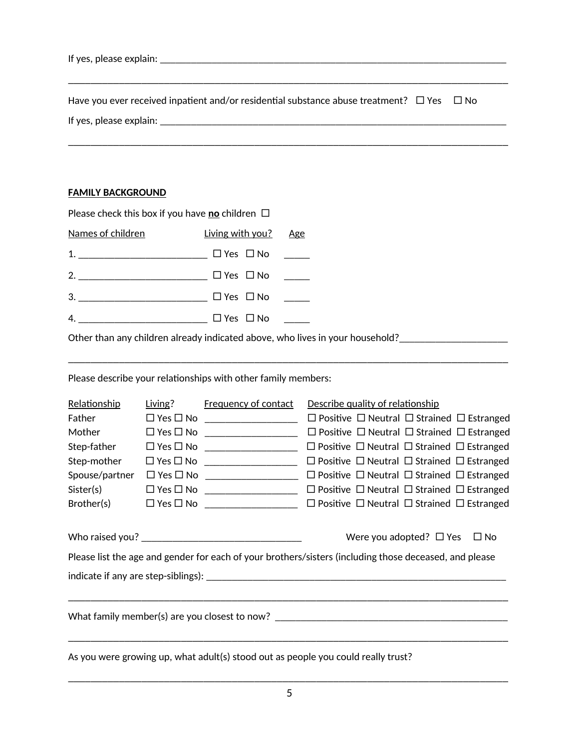| If yes, please explain:                                                                   |      |  |
|-------------------------------------------------------------------------------------------|------|--|
|                                                                                           |      |  |
| Have you ever received inpatient and/or residential substance abuse treatment? $\Box$ Yes | ⊟ No |  |

\_\_\_\_\_\_\_\_\_\_\_\_\_\_\_\_\_\_\_\_\_\_\_\_\_\_\_\_\_\_\_\_\_\_\_\_\_\_\_\_\_\_\_\_\_\_\_\_\_\_\_\_\_\_\_\_\_\_\_\_\_\_\_\_\_\_\_\_\_\_\_\_\_\_\_\_\_\_

If yes, please explain: \_\_\_\_\_\_\_\_\_\_\_\_\_\_\_\_\_\_\_\_\_\_\_\_\_\_\_\_\_\_\_\_\_\_\_\_\_\_\_\_\_\_\_\_\_\_\_\_\_\_\_\_\_\_\_\_\_\_\_\_\_\_\_\_\_\_\_

### **FAMILY BACKGROUND**

| Please check this box if you have no children $\Box$ |    |
|------------------------------------------------------|----|
| Names of children Living with you? Age               |    |
| 1. ________________________ □ Yes □ No  _____        |    |
| $\Box$ Yes $\Box$ No _____                           |    |
| $\Box$ Yes $\Box$ No                                 |    |
| $\Box$ Yes $\Box$ No ______                          |    |
|                                                      | 4. |

\_\_\_\_\_\_\_\_\_\_\_\_\_\_\_\_\_\_\_\_\_\_\_\_\_\_\_\_\_\_\_\_\_\_\_\_\_\_\_\_\_\_\_\_\_\_\_\_\_\_\_\_\_\_\_\_\_\_\_\_\_\_\_\_\_\_\_\_\_\_\_\_\_\_\_\_\_\_

Other than any children already indicated above, who lives in your household?\_\_\_\_\_\_\_\_\_\_\_\_\_\_\_\_\_\_\_\_\_\_

Please describe your relationships with other family members:

| Relationship   | Living? Frequency of contact               | Describe quality of relationship                                                                       |  |
|----------------|--------------------------------------------|--------------------------------------------------------------------------------------------------------|--|
| Father         | $\Box$ Yes $\Box$ No _____________________ | $\Box$ Positive $\Box$ Neutral $\Box$ Strained $\Box$ Estranged                                        |  |
| Mother         | $\Box$ Yes $\Box$ No _____________________ | $\Box$ Positive $\Box$ Neutral $\Box$ Strained $\Box$ Estranged                                        |  |
| Step-father    | $\Box$ Yes $\Box$ No ____________________  | $\Box$ Positive $\Box$ Neutral $\Box$ Strained $\Box$ Estranged                                        |  |
| Step-mother    | $\Box$ Yes $\Box$ No ____________________  | $\Box$ Positive $\Box$ Neutral $\Box$ Strained $\Box$ Estranged                                        |  |
| Spouse/partner | $\Box$ Yes $\Box$ No _____________________ | $\Box$ Positive $\Box$ Neutral $\Box$ Strained $\Box$ Estranged                                        |  |
| Sister(s)      |                                            |                                                                                                        |  |
|                | $Brother(s)$ $\Box$ Yes $\Box$ No $\Box$   | $\Box$ Positive $\Box$ Neutral $\Box$ Strained $\Box$ Estranged                                        |  |
|                |                                            | Were you adopted? $\Box$ Yes $\Box$ No                                                                 |  |
|                |                                            | Please list the age and gender for each of your brothers/sisters (including those deceased, and please |  |
|                |                                            |                                                                                                        |  |
|                |                                            |                                                                                                        |  |
|                |                                            | What family member(s) are you closest to now? $\overline{\phantom{a}}$                                 |  |
|                |                                            | As you were growing up, what adult(s) stood out as people you could really trust?                      |  |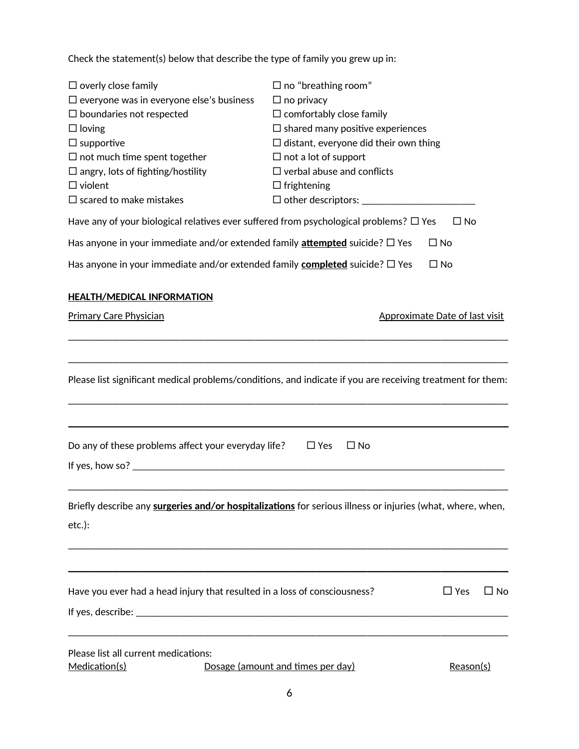Check the statement(s) below that describe the type of family you grew up in:

| $\Box$ overly close family<br>$\square$ everyone was in everyone else's business<br>$\square$ boundaries not respected<br>$\Box$ loving<br>$\Box$ supportive<br>$\Box$ not much time spent together<br>$\Box$ angry, lots of fighting/hostility<br>$\Box$ violent<br>$\Box$ scared to make mistakes | $\Box$ no "breathing room"<br>$\Box$ no privacy<br>$\Box$ comfortably close family<br>$\square$ shared many positive experiences<br>$\Box$ distant, everyone did their own thing<br>$\Box$ not a lot of support<br>$\Box$ verbal abuse and conflicts<br>$\Box$ frightening |                            |
|-----------------------------------------------------------------------------------------------------------------------------------------------------------------------------------------------------------------------------------------------------------------------------------------------------|----------------------------------------------------------------------------------------------------------------------------------------------------------------------------------------------------------------------------------------------------------------------------|----------------------------|
| Have any of your biological relatives ever suffered from psychological problems? $\Box$ Yes                                                                                                                                                                                                         |                                                                                                                                                                                                                                                                            | $\Box$ No                  |
| Has anyone in your immediate and/or extended family <b>attempted</b> suicide? $\square$ Yes                                                                                                                                                                                                         | $\Box$ No                                                                                                                                                                                                                                                                  |                            |
| Has anyone in your immediate and/or extended family <b>completed</b> suicide? $\square$ Yes                                                                                                                                                                                                         | $\Box$ No                                                                                                                                                                                                                                                                  |                            |
| <b>HEALTH/MEDICAL INFORMATION</b>                                                                                                                                                                                                                                                                   |                                                                                                                                                                                                                                                                            |                            |
| <b>Primary Care Physician</b>                                                                                                                                                                                                                                                                       | Approximate Date of last visit                                                                                                                                                                                                                                             |                            |
|                                                                                                                                                                                                                                                                                                     |                                                                                                                                                                                                                                                                            |                            |
|                                                                                                                                                                                                                                                                                                     |                                                                                                                                                                                                                                                                            |                            |
| Please list significant medical problems/conditions, and indicate if you are receiving treatment for them:                                                                                                                                                                                          |                                                                                                                                                                                                                                                                            |                            |
|                                                                                                                                                                                                                                                                                                     |                                                                                                                                                                                                                                                                            |                            |
|                                                                                                                                                                                                                                                                                                     |                                                                                                                                                                                                                                                                            |                            |
| Do any of these problems affect your everyday life?                                                                                                                                                                                                                                                 | $\Box$ Yes<br>$\square$ No                                                                                                                                                                                                                                                 |                            |
|                                                                                                                                                                                                                                                                                                     |                                                                                                                                                                                                                                                                            |                            |
|                                                                                                                                                                                                                                                                                                     |                                                                                                                                                                                                                                                                            |                            |
| Briefly describe any surgeries and/or hospitalizations for serious illness or injuries (what, where, when,<br>$etc.$ ):                                                                                                                                                                             |                                                                                                                                                                                                                                                                            |                            |
|                                                                                                                                                                                                                                                                                                     |                                                                                                                                                                                                                                                                            |                            |
|                                                                                                                                                                                                                                                                                                     |                                                                                                                                                                                                                                                                            |                            |
| Have you ever had a head injury that resulted in a loss of consciousness?                                                                                                                                                                                                                           |                                                                                                                                                                                                                                                                            | $\Box$ Yes<br>$\square$ No |
|                                                                                                                                                                                                                                                                                                     |                                                                                                                                                                                                                                                                            |                            |
|                                                                                                                                                                                                                                                                                                     |                                                                                                                                                                                                                                                                            |                            |
| Please list all current medications:<br>Medication(s)                                                                                                                                                                                                                                               | Dosage (amount and times per day)                                                                                                                                                                                                                                          | Reason(s)                  |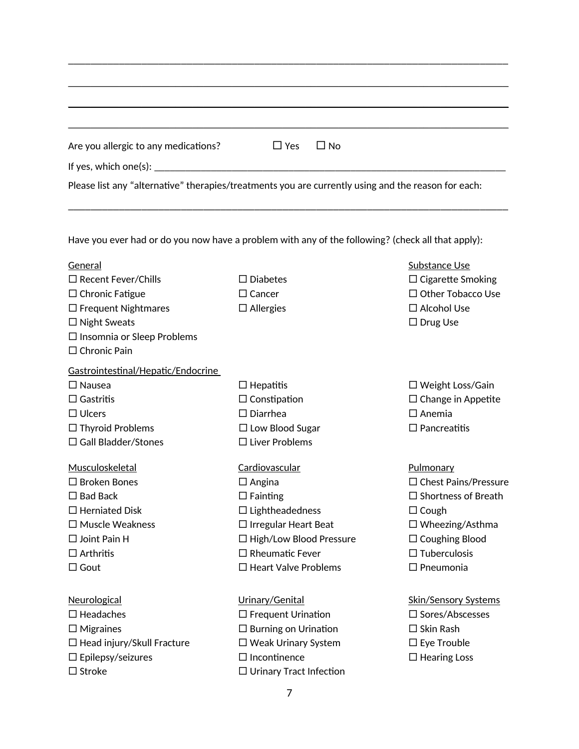| Are you allergic to any medications? | $\Box$ Yes<br>$\Box$ No                                                                             |                           |
|--------------------------------------|-----------------------------------------------------------------------------------------------------|---------------------------|
|                                      |                                                                                                     |                           |
|                                      | Please list any "alternative" therapies/treatments you are currently using and the reason for each: |                           |
|                                      |                                                                                                     |                           |
|                                      | Have you ever had or do you now have a problem with any of the following? (check all that apply):   |                           |
|                                      |                                                                                                     |                           |
| General                              |                                                                                                     | Substance Use             |
| $\Box$ Recent Fever/Chills           | $\Box$ Diabetes                                                                                     | $\Box$ Cigarette Smoking  |
| $\Box$ Chronic Fatigue               | $\square$ Cancer                                                                                    | □ Other Tobacco Use       |
| $\Box$ Frequent Nightmares           | $\Box$ Allergies                                                                                    | $\Box$ Alcohol Use        |
| $\Box$ Night Sweats                  |                                                                                                     | $\Box$ Drug Use           |
| $\Box$ Insomnia or Sleep Problems    |                                                                                                     |                           |
| $\Box$ Chronic Pain                  |                                                                                                     |                           |
| Gastrointestinal/Hepatic/Endocrine   |                                                                                                     |                           |
| $\Box$ Nausea                        | $\Box$ Hepatitis                                                                                    | $\Box$ Weight Loss/Gain   |
| $\Box$ Gastritis                     | $\Box$ Constipation                                                                                 | $\Box$ Change in Appetite |
| $\Box$ Ulcers                        | $\Box$ Diarrhea                                                                                     | $\square$ Anemia          |
| $\Box$ Thyroid Problems              | $\Box$ Low Blood Sugar                                                                              | $\Box$ Pancreatitis       |
| $\Box$ Gall Bladder/Stones           | $\Box$ Liver Problems                                                                               |                           |
| Musculoskeletal                      | Cardiovascular                                                                                      | Pulmonary                 |

| $\Box$ Bad Back                   | $\Box$ Fainting                | $\Box$ Shortness of Breath  |
|-----------------------------------|--------------------------------|-----------------------------|
| $\Box$ Herniated Disk             | $\Box$ Lightheadedness         | $\Box$ Cough                |
| $\Box$ Muscle Weakness            | $\Box$ Irregular Heart Beat    | $\Box$ Wheezing/Asthma      |
| $\Box$ Joint Pain H               | $\Box$ High/Low Blood Pressure | $\Box$ Coughing Blood       |
| $\Box$ Arthritis                  | $\Box$ Rheumatic Fever         | $\Box$ Tuberculosis         |
| $\Box$ Gout                       | $\Box$ Heart Valve Problems    | $\Box$ Pneumonia            |
|                                   |                                |                             |
| Neurological                      | Urinary/Genital                | <b>Skin/Sensory Systems</b> |
| $\Box$ Headaches                  | $\Box$ Frequent Urination      | $\Box$ Sores/Abscesses      |
| $\Box$ Migraines                  | $\Box$ Burning on Urination    | $\Box$ Skin Rash            |
| $\Box$ Head injury/Skull Fracture | $\Box$ Weak Urinary System     | $\Box$ Eye Trouble          |
| $\Box$ Epilepsy/seizures          | $\Box$ Incontinence            | $\Box$ Hearing Loss         |
| $\Box$ Stroke                     | $\Box$ Urinary Tract Infection |                             |

- 
- 
- 
- 
- 

 $\Box$  Broken Bones  $\Box$  Angina  $\Box$  Chest Pains/Pressure